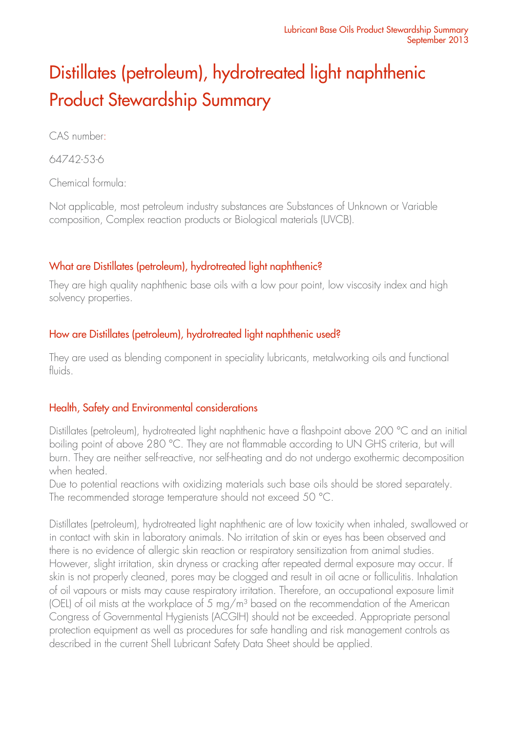# Distillates (petroleum), hydrotreated light naphthenic Product Stewardship Summary

CAS number:

64742-53-6

Chemical formula:

Not applicable, most petroleum industry substances are Substances of Unknown or Variable composition, Complex reaction products or Biological materials (UVCB).

# What are Distillates (petroleum), hydrotreated light naphthenic?

They are high quality naphthenic base oils with a low pour point, low viscosity index and high solvency properties.

# How are Distillates (petroleum), hydrotreated light naphthenic used?

They are used as blending component in speciality lubricants, metalworking oils and functional fluids.

# Health, Safety and Environmental considerations

Distillates (petroleum), hydrotreated light naphthenic have a flashpoint above 200 °C and an initial boiling point of above 280 °C. They are not flammable according to UN GHS criteria, but will burn. They are neither self-reactive, nor self-heating and do not undergo exothermic decomposition when heated.

Due to potential reactions with oxidizing materials such base oils should be stored separately. The recommended storage temperature should not exceed 50 °C.

Distillates (petroleum), hydrotreated light naphthenic are of low toxicity when inhaled, swallowed or in contact with skin in laboratory animals. No irritation of skin or eyes has been observed and there is no evidence of allergic skin reaction or respiratory sensitization from animal studies. However, slight irritation, skin dryness or cracking after repeated dermal exposure may occur. If skin is not properly cleaned, pores may be clogged and result in oil acne or folliculitis. Inhalation of oil vapours or mists may cause respiratory irritation. Therefore, an occupational exposure limit (OEL) of oil mists at the workplace of 5 mg/m<sup>3</sup> based on the recommendation of the American Congress of Governmental Hygienists (ACGIH) should not be exceeded. Appropriate personal protection equipment as well as procedures for safe handling and risk management controls as described in the current Shell Lubricant Safety Data Sheet should be applied.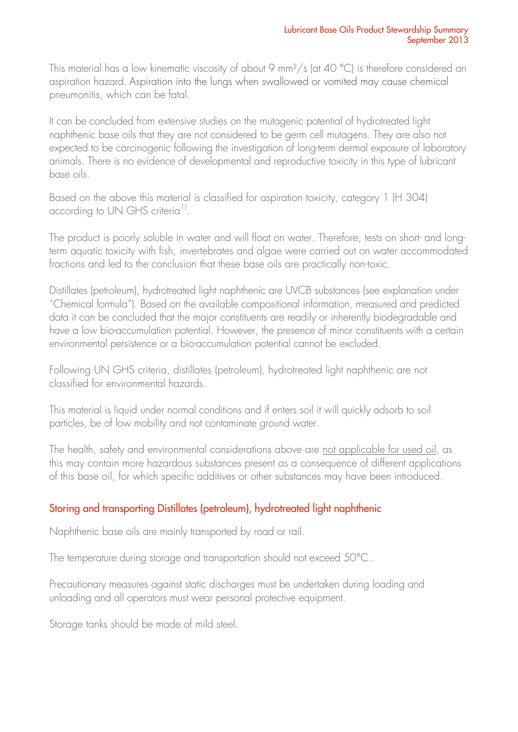This material has a low kinematic viscosity of about 9 mm<sup>2</sup>/s (at 40 °C) is therefore considered an aspiration hazard. Aspiration into the lungs when swallowed or vomited may cause chemical pneumonitis, which can be fatal.

It can be concluded from extensive studies on the mutagenic potential of hydrotreated light naphthenic base oils that they are not considered to be germ cell mutagens. They are also not expected to be carcinogenic following the investigation of long-term dermal exposure of laboratory animals. There is no evidence of developmental and reproductive toxicity in this type of lubricant base oils.

Based on the above this material is classified for aspiration toxicity, category 1 (H 304) according to UN GHS criteria<sup>1)</sup>.

The product is poorly soluble in water and will float on water. Therefore, tests on short- and longterm aquatic toxicity with fish, invertebrates and algae were carried out on water accommodated fractions and led to the conclusion that these base oils are practically non-toxic.

Distillates (petroleum), hydrotreated light naphthenic are UVCB substances (see explanation under "Chemical formula"). Based on the available compositional information, measured and predicted data it can be concluded that the major constituents are readily or inherently biodegradable and have a low bio-accumulation potential. However, the presence of minor constituents with a certain environmental persistence or a bio-accumulation potential cannot be excluded.

Following UN GHS criteria, distillates (petroleum), hydrotreated light naphthenic are not classified for environmental hazards.

This material is liquid under normal conditions and if enters soil it will quickly adsorb to soil particles, be of low mobility and not contaminate ground water.

The health, safety and environmental considerations above are not applicable for used oil, as this may contain more hazardous substances present as a consequence of different applications of this base oil, for which specific additives or other substances may have been introduced.

# Storing and transporting Distillates (petroleum), hydrotreated light naphthenic

Naphthenic base oils are mainly transported by road or rail.

The temperature during storage and transportation should not exceed 50°C..

Precautionary measures against static discharges must be undertaken during loading and unloading and all operators must wear personal protective equipment.

Storage tanks should be made of mild steel.